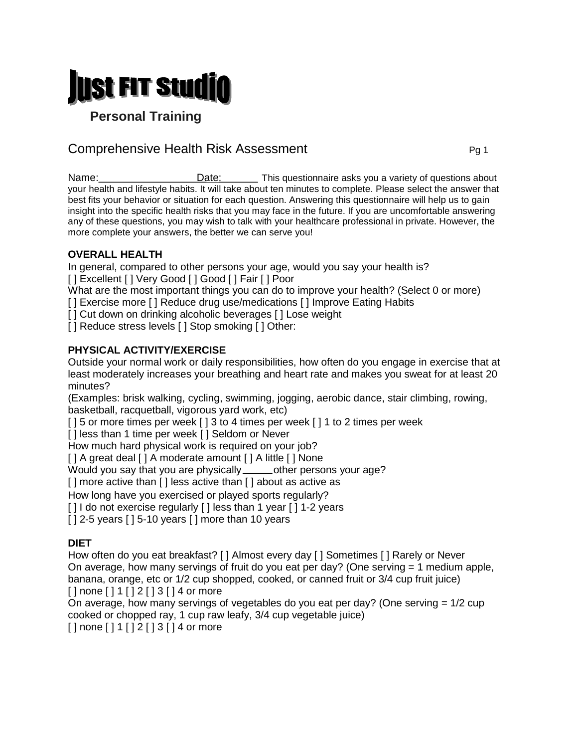

 **Personal Training**

# Comprehensive Health Risk Assessment **Comprehensive Health Risk Assessment**

Name: Date: Date: Date: Date: This questionnaire asks you a variety of questions about your health and lifestyle habits. It will take about ten minutes to complete. Please select the answer that best fits your behavior or situation for each question. Answering this questionnaire will help us to gain insight into the specific health risks that you may face in the future. If you are uncomfortable answering any of these questions, you may wish to talk with your healthcare professional in private. However, the more complete your answers, the better we can serve you!

## **OVERALL HEALTH**

In general, compared to other persons your age, would you say your health is?

[] Excellent [] Very Good [] Good [] Fair [] Poor

What are the most important things you can do to improve your health? (Select 0 or more)

[] Exercise more [] Reduce drug use/medications [] Improve Eating Habits

[] Cut down on drinking alcoholic beverages [] Lose weight

[] Reduce stress levels [] Stop smoking [] Other:

## **PHYSICAL ACTIVITY/EXERCISE**

Outside your normal work or daily responsibilities, how often do you engage in exercise that at least moderately increases your breathing and heart rate and makes you sweat for at least 20 minutes?

(Examples: brisk walking, cycling, swimming, jogging, aerobic dance, stair climbing, rowing, basketball, racquetball, vigorous yard work, etc)

[ ] 5 or more times per week [ ] 3 to 4 times per week [ ] 1 to 2 times per week

[] less than 1 time per week [] Seldom or Never

How much hard physical work is required on your job?

[ ] A great deal [ ] A moderate amount [ ] A little [ ] None

Would you say that you are physically sumption persons your age?

[] more active than [] less active than [] about as active as

How long have you exercised or played sports regularly?

[] I do not exercise regularly [] less than 1 year [] 1-2 years

 $[$   $]$  2-5 years  $[$   $]$  5-10 years  $[$   $]$  more than 10 years

# **DIET**

How often do you eat breakfast? [ ] Almost every day [ ] Sometimes [ ] Rarely or Never On average, how many servings of fruit do you eat per day? (One serving = 1 medium apple, banana, orange, etc or  $1/2$  cup shopped, cooked, or canned fruit or  $3/4$  cup fruit juice)  $[ ]$  none  $[ ] 1 [ ] 2 [ ] 3 [ ] 4$  or more

On average, how many servings of vegetables do you eat per day? (One serving = 1/2 cup cooked or chopped ray, 1 cup raw leafy, 3/4 cup vegetable juice)

 $[ ]$  none  $[ ] 1 [ ] 2 [ ] 3 [ ] 4$  or more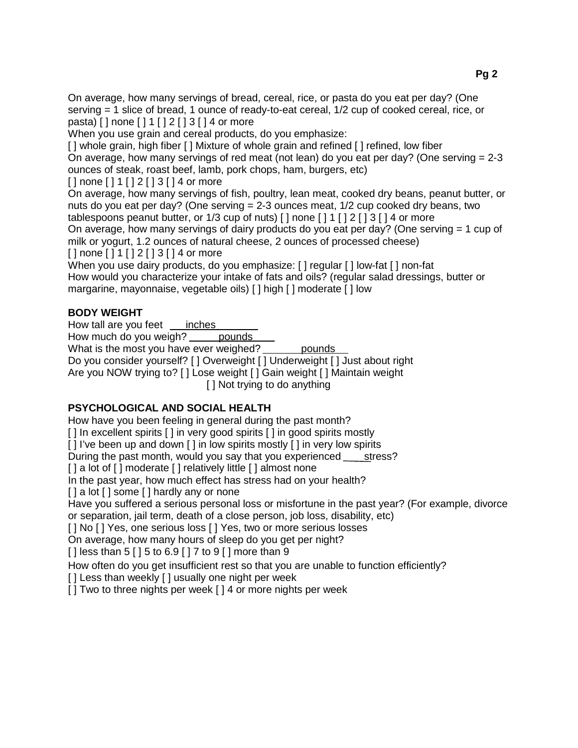On average, how many servings of bread, cereal, rice, or pasta do you eat per day? (One serving = 1 slice of bread, 1 ounce of ready-to-eat cereal, 1/2 cup of cooked cereal, rice, or pasta) [ ] none [ ] 1 [ ] 2 [ ] 3 [ ] 4 or more

When you use grain and cereal products, do you emphasize:

[] whole grain, high fiber [] Mixture of whole grain and refined [] refined, low fiber On average, how many servings of red meat (not lean) do you eat per day? (One serving = 2-3 ounces of steak, roast beef, lamb, pork chops, ham, burgers, etc)

[ ] none [ ] 1 [ ] 2 [ ] 3 [ ] 4 or more

On average, how many servings of fish, poultry, lean meat, cooked dry beans, peanut butter, or nuts do you eat per day? (One serving  $= 2-3$  ounces meat,  $1/2$  cup cooked dry beans, two

tablespoons peanut butter, or  $1/3$  cup of nuts) [] none []  $1$  []  $2$  []  $3$  []  $4$  or more On average, how many servings of dairy products do you eat per day? (One serving = 1 cup of milk or yogurt, 1.2 ounces of natural cheese, 2 ounces of processed cheese)

[] none [] 1 [] 2 [] 3 [] 4 or more

When you use dairy products, do you emphasize: [] regular [] low-fat [] non-fat How would you characterize your intake of fats and oils? (regular salad dressings, butter or margarine, mayonnaise, vegetable oils) [ ] high [ ] moderate [ ] low

## **BODY WEIGHT**

How tall are you feet  $\quad$  inches

How much do you weigh? pounds

What is the most you have ever weighed? pounds

Do you consider yourself? [ ] Overweight [ ] Underweight [ ] Just about right

Are you NOW trying to? [ ] Lose weight [ ] Gain weight [ ] Maintain weight

[ ] Not trying to do anything

## **PSYCHOLOGICAL AND SOCIAL HEALTH**

How have you been feeling in general during the past month?

[ ] In excellent spirits [ ] in very good spirits [ ] in good spirits mostly

[] I've been up and down [] in low spirits mostly [] in very low spirits

During the past month, would you say that you experienced \_\_\_\_\_ stress?

[ ] a lot of [ ] moderate [ ] relatively little [ ] almost none

In the past year, how much effect has stress had on your health?

[ ] a lot [ ] some [ ] hardly any or none

Have you suffered a serious personal loss or misfortune in the past year? (For example, divorce or separation, jail term, death of a close person, job loss, disability, etc)

[ ] No [ ] Yes, one serious loss [ ] Yes, two or more serious losses

On average, how many hours of sleep do you get per night?

 $[ ]$  less than 5  $[ ] 5$  to 6.9  $[ ] 7$  to 9  $[ ]$  more than 9

How often do you get insufficient rest so that you are unable to function efficiently?

[] Less than weekly [] usually one night per week

[ ] Two to three nights per week [ ] 4 or more nights per week